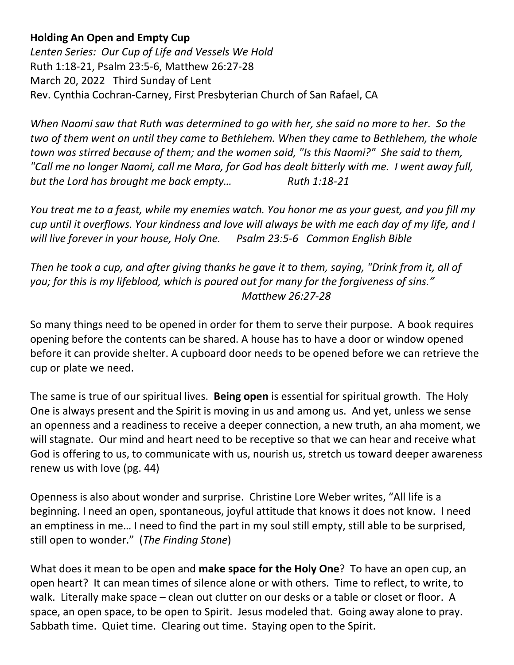**Holding An Open and Empty Cup**

*Lenten Series: Our Cup of Life and Vessels We Hold* Ruth 1:18-21, Psalm 23:5-6, Matthew 26:27-28 March 20, 2022 Third Sunday of Lent Rev. Cynthia Cochran-Carney, First Presbyterian Church of San Rafael, CA

*When Naomi saw that Ruth was determined to go with her, she said no more to her. So the two of them went on until they came to Bethlehem. When they came to Bethlehem, the whole town was stirred because of them; and the women said, "Is this Naomi?" She said to them, "Call me no longer Naomi, call me Mara, for God has dealt bitterly with me. I went away full, but the Lord has brought me back empty...* Ruth 1:18-21

*You treat me to a feast, while my enemies watch. You honor me as your guest, and you fill my cup until it overflows. Your kindness and love will always be with me each day of my life, and I will live forever in your house, Holy One. Psalm 23:5-6 Common English Bible*

*Then he took a cup, and after giving thanks he gave it to them, saying, "Drink from it, all of you; for this is my lifeblood, which is poured out for many for the forgiveness of sins." Matthew 26:27-28*

So many things need to be opened in order for them to serve their purpose. A book requires opening before the contents can be shared. A house has to have a door or window opened before it can provide shelter. A cupboard door needs to be opened before we can retrieve the cup or plate we need.

The same is true of our spiritual lives. **Being open** is essential for spiritual growth. The Holy One is always present and the Spirit is moving in us and among us. And yet, unless we sense an openness and a readiness to receive a deeper connection, a new truth, an aha moment, we will stagnate. Our mind and heart need to be receptive so that we can hear and receive what God is offering to us, to communicate with us, nourish us, stretch us toward deeper awareness renew us with love (pg. 44)

Openness is also about wonder and surprise. Christine Lore Weber writes, "All life is a beginning. I need an open, spontaneous, joyful attitude that knows it does not know. I need an emptiness in me… I need to find the part in my soul still empty, still able to be surprised, still open to wonder." (*The Finding Stone*)

What does it mean to be open and **make space for the Holy One**? To have an open cup, an open heart? It can mean times of silence alone or with others. Time to reflect, to write, to walk. Literally make space – clean out clutter on our desks or a table or closet or floor. A space, an open space, to be open to Spirit. Jesus modeled that. Going away alone to pray. Sabbath time. Quiet time. Clearing out time. Staying open to the Spirit.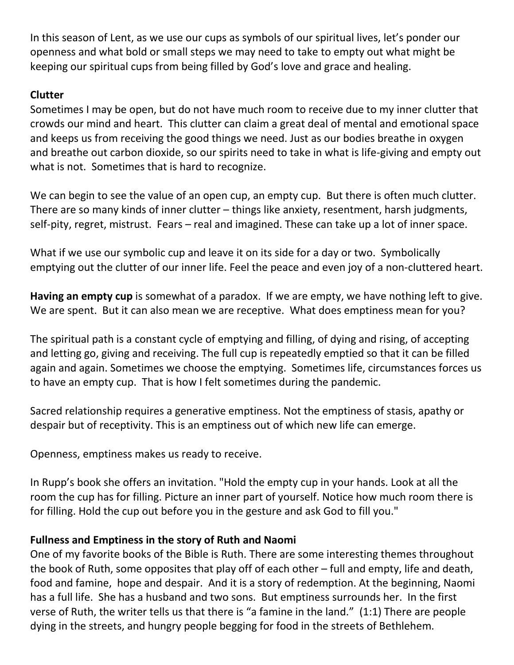In this season of Lent, as we use our cups as symbols of our spiritual lives, let's ponder our openness and what bold or small steps we may need to take to empty out what might be keeping our spiritual cups from being filled by God's love and grace and healing.

## **Clutter**

Sometimes I may be open, but do not have much room to receive due to my inner clutter that crowds our mind and heart. This clutter can claim a great deal of mental and emotional space and keeps us from receiving the good things we need. Just as our bodies breathe in oxygen and breathe out carbon dioxide, so our spirits need to take in what is life-giving and empty out what is not. Sometimes that is hard to recognize.

We can begin to see the value of an open cup, an empty cup. But there is often much clutter. There are so many kinds of inner clutter – things like anxiety, resentment, harsh judgments, self-pity, regret, mistrust. Fears – real and imagined. These can take up a lot of inner space.

What if we use our symbolic cup and leave it on its side for a day or two. Symbolically emptying out the clutter of our inner life. Feel the peace and even joy of a non-cluttered heart.

**Having an empty cup** is somewhat of a paradox. If we are empty, we have nothing left to give. We are spent. But it can also mean we are receptive. What does emptiness mean for you?

The spiritual path is a constant cycle of emptying and filling, of dying and rising, of accepting and letting go, giving and receiving. The full cup is repeatedly emptied so that it can be filled again and again. Sometimes we choose the emptying. Sometimes life, circumstances forces us to have an empty cup. That is how I felt sometimes during the pandemic.

Sacred relationship requires a generative emptiness. Not the emptiness of stasis, apathy or despair but of receptivity. This is an emptiness out of which new life can emerge.

Openness, emptiness makes us ready to receive.

In Rupp's book she offers an invitation. "Hold the empty cup in your hands. Look at all the room the cup has for filling. Picture an inner part of yourself. Notice how much room there is for filling. Hold the cup out before you in the gesture and ask God to fill you."

## **Fullness and Emptiness in the story of Ruth and Naomi**

One of my favorite books of the Bible is Ruth. There are some interesting themes throughout the book of Ruth, some opposites that play off of each other – full and empty, life and death, food and famine, hope and despair. And it is a story of redemption. At the beginning, Naomi has a full life. She has a husband and two sons. But emptiness surrounds her. In the first verse of Ruth, the writer tells us that there is "a famine in the land." (1:1) There are people dying in the streets, and hungry people begging for food in the streets of Bethlehem.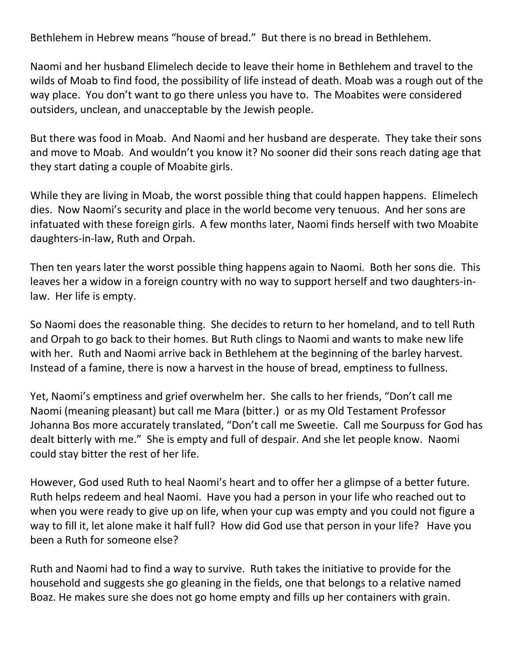Bethlehem in Hebrew means "house of bread." But there is no bread in Bethlehem.

Naomi and her husband Elimelech decide to leave their home in Bethlehem and travel to the wilds of Moab to find food, the possibility of life instead of death. Moab was a rough out of the way place. You don't want to go there unless you have to. The Moabites were considered outsiders, unclean, and unacceptable by the Jewish people.

But there was food in Moab. And Naomi and her husband are desperate. They take their sons and move to Moab. And wouldn't you know it? No sooner did their sons reach dating age that they start dating a couple of Moabite girls.

While they are living in Moab, the worst possible thing that could happen happens. Elimelech dies. Now Naomi's security and place in the world become very tenuous. And her sons are infatuated with these foreign girls. A few months later, Naomi finds herself with two Moabite daughters-in-law, Ruth and Orpah.

Then ten years later the worst possible thing happens again to Naomi. Both her sons die. This leaves her a widow in a foreign country with no way to support herself and two daughters-inlaw. Her life is empty.

So Naomi does the reasonable thing. She decides to return to her homeland, and to tell Ruth and Orpah to go back to their homes. But Ruth clings to Naomi and wants to make new life with her. Ruth and Naomi arrive back in Bethlehem at the beginning of the barley harvest. Instead of a famine, there is now a harvest in the house of bread, emptiness to fullness.

Yet, Naomi's emptiness and grief overwhelm her. She calls to her friends, "Don't call me Naomi (meaning pleasant) but call me Mara (bitter.) or as my Old Testament Professor Johanna Bos more accurately translated, "Don't call me Sweetie. Call me Sourpuss for God has dealt bitterly with me." She is empty and full of despair. And she let people know. Naomi could stay bitter the rest of her life.

However, God used Ruth to heal Naomi's heart and to offer her a glimpse of a better future. Ruth helps redeem and heal Naomi. Have you had a person in your life who reached out to when you were ready to give up on life, when your cup was empty and you could not figure a way to fill it, let alone make it half full? How did God use that person in your life? Have you been a Ruth for someone else?

Ruth and Naomi had to find a way to survive. Ruth takes the initiative to provide for the household and suggests she go gleaning in the fields, one that belongs to a relative named Boaz. He makes sure she does not go home empty and fills up her containers with grain.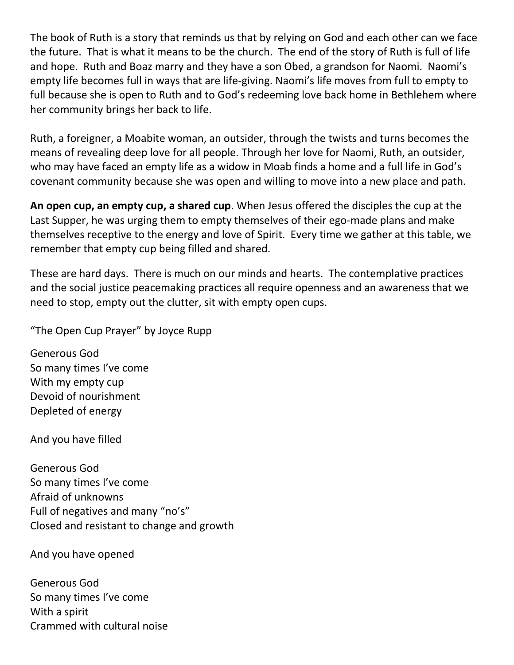The book of Ruth is a story that reminds us that by relying on God and each other can we face the future. That is what it means to be the church. The end of the story of Ruth is full of life and hope. Ruth and Boaz marry and they have a son Obed, a grandson for Naomi. Naomi's empty life becomes full in ways that are life-giving. Naomi's life moves from full to empty to full because she is open to Ruth and to God's redeeming love back home in Bethlehem where her community brings her back to life.

Ruth, a foreigner, a Moabite woman, an outsider, through the twists and turns becomes the means of revealing deep love for all people. Through her love for Naomi, Ruth, an outsider, who may have faced an empty life as a widow in Moab finds a home and a full life in God's covenant community because she was open and willing to move into a new place and path.

**An open cup, an empty cup, a shared cup**. When Jesus offered the disciples the cup at the Last Supper, he was urging them to empty themselves of their ego-made plans and make themselves receptive to the energy and love of Spirit. Every time we gather at this table, we remember that empty cup being filled and shared.

These are hard days. There is much on our minds and hearts. The contemplative practices and the social justice peacemaking practices all require openness and an awareness that we need to stop, empty out the clutter, sit with empty open cups.

"The Open Cup Prayer" by Joyce Rupp

Generous God So many times I've come With my empty cup Devoid of nourishment Depleted of energy

And you have filled

Generous God So many times I've come Afraid of unknowns Full of negatives and many "no's" Closed and resistant to change and growth

And you have opened

Generous God So many times I've come With a spirit Crammed with cultural noise